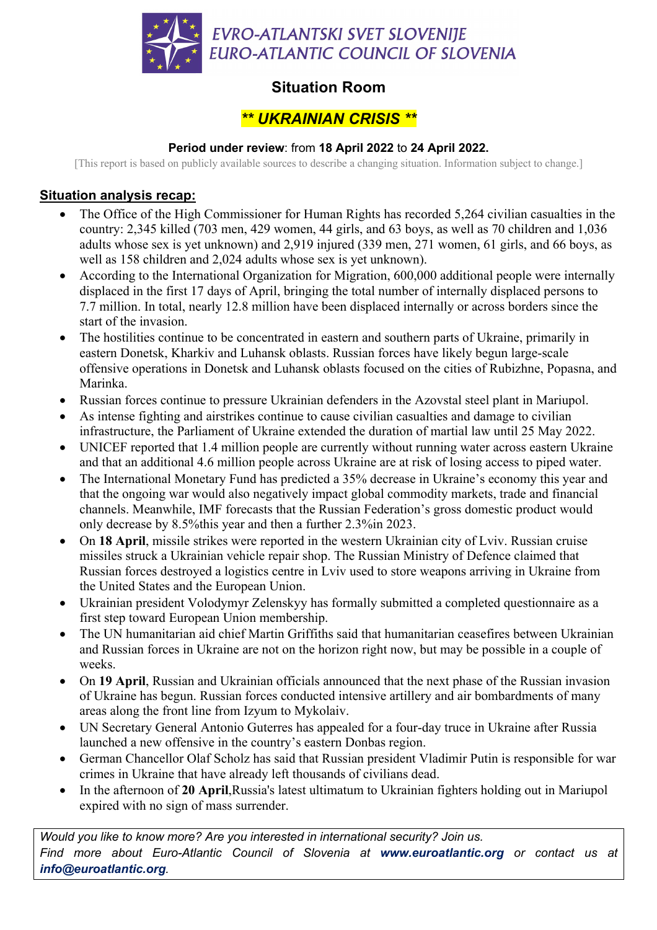

# **Situation Room**

## *\*\* UKRAINIAN CRISIS \*\**

### **Period under review**: from **18 April 2022** to **24 April 2022.**

[This report is based on publicly available sources to describe a changing situation. Information subject to change.]

### **Situation analysis recap:**

- The Office of the High Commissioner for Human Rights has recorded 5,264 civilian casualties in the country: 2,345 killed (703 men, 429 women, 44 girls, and 63 boys, as well as 70 children and 1,036 adults whose sex is yet unknown) and 2,919 injured (339 men, 271 women, 61 girls, and 66 boys, as well as 158 children and 2,024 adults whose sex is yet unknown).
- According to the International Organization for Migration, 600,000 additional people were internally displaced in the first 17 days of April, bringing the total number of internally displaced persons to 7.7 million. In total, nearly 12.8 million have been displaced internally or across borders since the start of the invasion.
- The hostilities continue to be concentrated in eastern and southern parts of Ukraine, primarily in eastern Donetsk, Kharkiv and Luhansk oblasts. Russian forces have likely begun large-scale offensive operations in Donetsk and Luhansk oblasts focused on the cities of Rubizhne, Popasna, and Marinka.
- Russian forces continue to pressure Ukrainian defenders in the Azovstal steel plant in Mariupol.
- As intense fighting and airstrikes continue to cause civilian casualties and damage to civilian infrastructure, the Parliament of Ukraine extended the duration of martial law until 25 May 2022.
- UNICEF reported that 1.4 million people are currently without running water across eastern Ukraine and that an additional 4.6 million people across Ukraine are at risk of losing access to piped water.
- The International Monetary Fund has predicted a 35% decrease in Ukraine's economy this year and that the ongoing war would also negatively impact global commodity markets, trade and financial channels. Meanwhile, IMF forecasts that the Russian Federation's gross domestic product would only decrease by 8.5%this year and then a further 2.3%in 2023.
- On **18 April**, missile strikes were reported in the western Ukrainian city of Lviv. Russian cruise missiles struck a Ukrainian vehicle repair shop. The Russian Ministry of Defence claimed that Russian forces destroyed a logistics centre in Lviv used to store weapons arriving in Ukraine from the United States and the European Union.
- Ukrainian president Volodymyr Zelenskyy has formally submitted a completed questionnaire as a first step toward European Union membership.
- The UN humanitarian aid chief Martin Griffiths said that humanitarian ceasefires between Ukrainian and Russian forces in Ukraine are not on the horizon right now, but may be possible in a couple of weeks.
- On **19 April**, Russian and Ukrainian officials announced that the next phase of the Russian invasion of Ukraine has begun. Russian forces conducted intensive artillery and air bombardments of many areas along the front line from Izyum to Mykolaiv.
- UN Secretary General Antonio Guterres has appealed for a four-day truce in Ukraine after Russia launched a new offensive in the country's eastern Donbas region.
- German Chancellor Olaf Scholz has said that Russian president Vladimir Putin is responsible for war crimes in Ukraine that have already left thousands of civilians dead.
- In the afternoon of **20 April**,Russia's latest ultimatum to Ukrainian fighters holding out in Mariupol expired with no sign of mass surrender.

*Would you like to know more? Are you interested in international security? Join us. Find more about Euro-Atlantic Council of Slovenia at www.euroatlantic.org or contact us at info@euroatlantic.org.*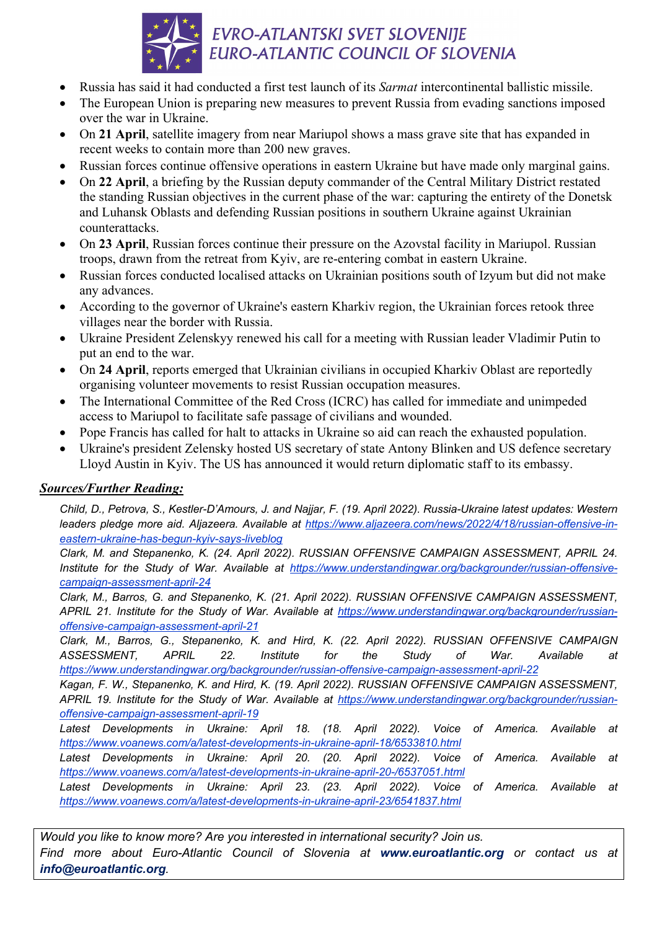

- Russia has said it had conducted a first test launch of its *Sarmat* intercontinental ballistic missile.
- The European Union is preparing new measures to prevent Russia from evading sanctions imposed over the war in Ukraine.
- On **21 April**, satellite imagery from near Mariupol shows a mass grave site that has expanded in recent weeks to contain more than 200 new graves.
- Russian forces continue offensive operations in eastern Ukraine but have made only marginal gains.
- On **22 April**, a briefing by the Russian deputy commander of the Central Military District restated the standing Russian objectives in the current phase of the war: capturing the entirety of the Donetsk and Luhansk Oblasts and defending Russian positions in southern Ukraine against Ukrainian counterattacks.
- On **23 April**, Russian forces continue their pressure on the Azovstal facility in Mariupol. Russian troops, drawn from the retreat from Kyiv, are re-entering combat in eastern Ukraine.
- Russian forces conducted localised attacks on Ukrainian positions south of Izyum but did not make any advances.
- According to the governor of Ukraine's eastern Kharkiv region, the Ukrainian forces retook three villages near the border with Russia.
- Ukraine President Zelenskyy renewed his call for a meeting with Russian leader Vladimir Putin to put an end to the war.
- On **24 April**, reports emerged that Ukrainian civilians in occupied Kharkiv Oblast are reportedly organising volunteer movements to resist Russian occupation measures.
- The International Committee of the Red Cross (ICRC) has called for immediate and unimpeded access to Mariupol to facilitate safe passage of civilians and wounded.
- Pope Francis has called for halt to attacks in Ukraine so aid can reach the exhausted population.
- Ukraine's president Zelensky hosted US secretary of state Antony Blinken and US defence secretary Lloyd Austin in Kyiv. The US has announced it would return diplomatic staff to its embassy.

### *Sources/Further Reading:*

*Child, D., Petrova, S., Kestler-D'Amours, J. and Najjar, F. (19. April 2022). Russia-Ukraine latest updates: Western leaders pledge more aid. Aljazeera. Available at https://www.aljazeera.com/news/2022/4/18/russian-offensive-ineastern-ukraine-has-begun-kyiv-says-liveblog*

*Clark, M. and Stepanenko, K. (24. April 2022). RUSSIAN OFFENSIVE CAMPAIGN ASSESSMENT, APRIL 24. Institute for the Study of War. Available at https://www.understandingwar.org/backgrounder/russian-offensivecampaign-assessment-april-24*

*Clark, M., Barros, G. and Stepanenko, K. (21. April 2022). RUSSIAN OFFENSIVE CAMPAIGN ASSESSMENT, APRIL 21. Institute for the Study of War. Available at https://www.understandingwar.org/backgrounder/russianoffensive-campaign-assessment-april-21*

*Clark, M., Barros, G., Stepanenko, K. and Hird, K. (22. April 2022). RUSSIAN OFFENSIVE CAMPAIGN ASSESSMENT, APRIL 22. Institute for the Study of War. Available at https://www.understandingwar.org/backgrounder/russian-offensive-campaign-assessment-april-22*

*Kagan, F. W., Stepanenko, K. and Hird, K. (19. April 2022). RUSSIAN OFFENSIVE CAMPAIGN ASSESSMENT, APRIL 19. Institute for the Study of War. Available at https://www.understandingwar.org/backgrounder/russianoffensive-campaign-assessment-april-19*

Latest Developments in Ukraine: April 18. (18. April 2022). Voice of America. Available at *https://www.voanews.com/a/latest-developments-in-ukraine-april-18/6533810.html*

Latest Developments in Ukraine: April 20. (20. April 2022). Voice of America. Available at *https://www.voanews.com/a/latest-developments-in-ukraine-april-20-/6537051.html*

*Latest Developments in Ukraine: April 23. (23. April 2022). Voice of America. Available at https://www.voanews.com/a/latest-developments-in-ukraine-april-23/6541837.html*

*Would you like to know more? Are you interested in international security? Join us. Find more about Euro-Atlantic Council of Slovenia at www.euroatlantic.org or contact us at info@euroatlantic.org.*